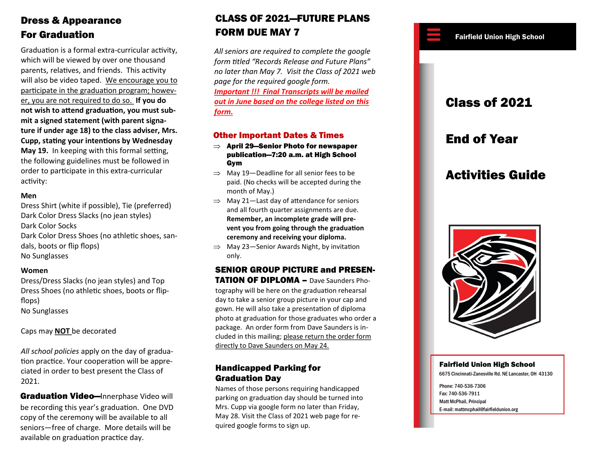# Dress & Appearance

Graduation is a formal extra-curricular activity, which will be viewed by over one thousand parents, relatives, and friends. This activity will also be video taped. We encourage you to participate in the graduation program; however, you are not required to do so. **If you do not wish to attend graduation, you must submit a signed statement (with parent signature if under age 18) to the class adviser, Mrs. Cupp, stating your intentions by Wednesday May 19.** In keeping with this formal setting, the following guidelines must be followed in order to participate in this extra-curricular activity:

#### **Men**

Dress Shirt (white if possible), Tie (preferred) Dark Color Dress Slacks (no jean styles) Dark Color Socks Dark Color Dress Shoes (no athletic shoes, sandals, boots or flip flops) No Sunglasses

#### **Women**

Dress/Dress Slacks (no jean styles) and Top Dress Shoes (no athletic shoes, boots or flipflops)

No Sunglasses

Caps may **NOT** be decorated

*All school policies* apply on the day of graduation practice. Your cooperation will be appreciated in order to best present the Class of 2021.

Graduation Video-Innerphase Video will be recording this year's graduation. One DVD copy of the ceremony will be available to all seniors—free of charge. More details will be available on graduation practice day.

#### For Graduation **FORM DUE MAY 7** For Graduation High School **FORM DUE MAY 7** CLASS OF 2021—FUTURE PLANS FORM DUE MAY 7

*All seniors are required to complete the google form titled "Records Release and Future Plans" no later than May 7. Visit the Class of 2021 web page for the required google form. Important !!! Final Transcripts will be mailed out in June based on the college listed on this form.*

# Other Important Dates & Times

- $\Rightarrow$  April 29—Senior Photo for newspaper publication—7:20 a.m. at High School Gym
- $\Rightarrow$  May 19-Deadline for all senior fees to be paid. (No checks will be accepted during the month of May.)
- $\implies$  May 21-Last day of attendance for seniors and all fourth quarter assignments are due. **Remember, an incomplete grade will prevent you from going through the graduation ceremony and receiving your diploma.**
- $\implies$  May 23-Senior Awards Night, by invitation only.

#### SENIOR GROUP PICTURE and PRESEN-TATION OF DIPLOMA – Dave Saunders Pho-

tography will be here on the graduation rehearsal day to take a senior group picture in your cap and gown. He will also take a presentation of diploma photo at graduation for those graduates who order a package. An order form from Dave Saunders is included in this mailing; please return the order form directly to Dave Saunders on May 24.

## Handicapped Parking for Graduation Day

Names of those persons requiring handicapped parking on graduation day should be turned into Mrs. Cupp via google form no later than Friday, May 28. Visit the Class of 2021 web page for required google forms to sign up.

# Class of 2021 End of Year Activities Guide



### Fairfield Union High School

6675 Cincinnati-Zanesville Rd. NE Lancaster, OH 43130

Phone: 740-536-7306 Fax: 740-536-7911 Matt McPhail, Principal E-mail: mattmcphail@fairfieldunion.org